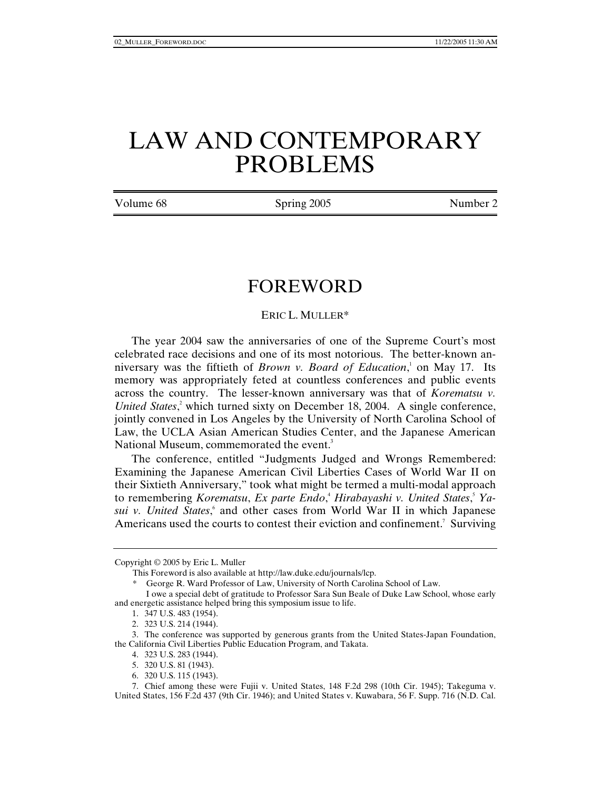## LAW AND CONTEMPORARY PROBLEMS

Volume 68 Spring 2005 Number 2

## FOREWORD

## ERIC L. MULLER\*

The year 2004 saw the anniversaries of one of the Supreme Court's most celebrated race decisions and one of its most notorious. The better-known anniversary was the fiftieth of *Brown v. Board of Education*,<sup>1</sup> on May 17. Its memory was appropriately feted at countless conferences and public events across the country. The lesser-known anniversary was that of *Korematsu v. United States*,<sup>2</sup> which turned sixty on December 18, 2004. A single conference, jointly convened in Los Angeles by the University of North Carolina School of Law, the UCLA Asian American Studies Center, and the Japanese American National Museum, commemorated the event.<sup>3</sup>

The conference, entitled "Judgments Judged and Wrongs Remembered: Examining the Japanese American Civil Liberties Cases of World War II on their Sixtieth Anniversary," took what might be termed a multi-modal approach to remembering *Korematsu*, *Ex parte Endo*, 4 *Hirabayashi v. United States*, 5 *Ya*sui v. United States,<sup>6</sup> and other cases from World War II in which Japanese Americans used the courts to contest their eviction and confinement.<sup>7</sup> Surviving

Copyright © 2005 by Eric L. Muller

This Foreword is also available at http://law.duke.edu/journals/lcp.

\* George R. Ward Professor of Law, University of North Carolina School of Law.

4. 323 U.S. 283 (1944).

 7. Chief among these were Fujii v. United States, 148 F.2d 298 (10th Cir. 1945); Takeguma v. United States, 156 F.2d 437 (9th Cir. 1946); and United States v. Kuwabara, 56 F. Supp. 716 (N.D. Cal.

I owe a special debt of gratitude to Professor Sara Sun Beale of Duke Law School, whose early and energetic assistance helped bring this symposium issue to life.

 <sup>1. 347</sup> U.S. 483 (1954).

 <sup>2. 323</sup> U.S. 214 (1944).

 <sup>3.</sup> The conference was supported by generous grants from the United States-Japan Foundation, the California Civil Liberties Public Education Program, and Takata.

 <sup>5. 320</sup> U.S. 81 (1943).

 <sup>6. 320</sup> U.S. 115 (1943).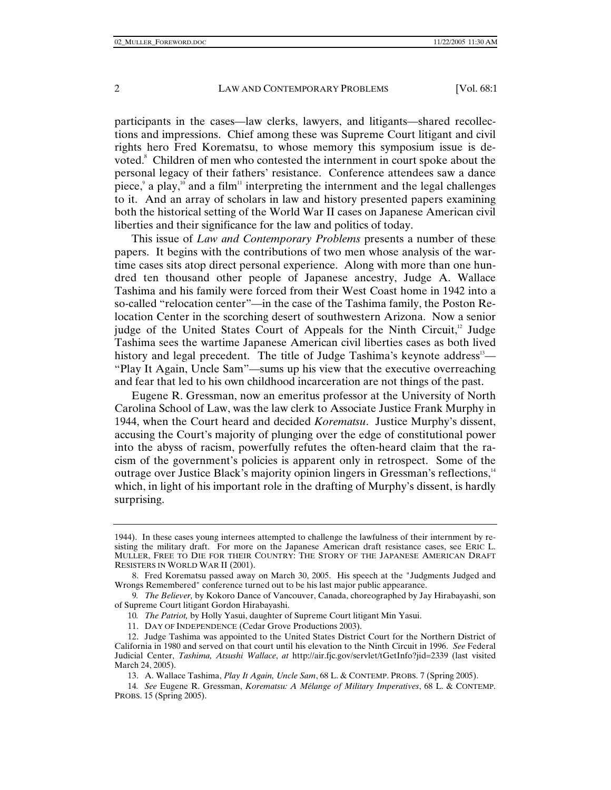participants in the cases—law clerks, lawyers, and litigants—shared recollections and impressions. Chief among these was Supreme Court litigant and civil rights hero Fred Korematsu, to whose memory this symposium issue is devoted.<sup>8</sup> Children of men who contested the internment in court spoke about the personal legacy of their fathers' resistance. Conference attendees saw a dance piece,  $a$  play,<sup>10</sup> and a film<sup>11</sup> interpreting the internment and the legal challenges to it. And an array of scholars in law and history presented papers examining both the historical setting of the World War II cases on Japanese American civil liberties and their significance for the law and politics of today.

This issue of *Law and Contemporary Problems* presents a number of these papers. It begins with the contributions of two men whose analysis of the wartime cases sits atop direct personal experience. Along with more than one hundred ten thousand other people of Japanese ancestry, Judge A. Wallace Tashima and his family were forced from their West Coast home in 1942 into a so-called "relocation center"—in the case of the Tashima family, the Poston Relocation Center in the scorching desert of southwestern Arizona. Now a senior judge of the United States Court of Appeals for the Ninth Circuit, $12 \text{ Judge}$ Tashima sees the wartime Japanese American civil liberties cases as both lived history and legal precedent. The title of Judge Tashima's keynote address<sup>13</sup>— "Play It Again, Uncle Sam"—sums up his view that the executive overreaching and fear that led to his own childhood incarceration are not things of the past.

Eugene R. Gressman, now an emeritus professor at the University of North Carolina School of Law, was the law clerk to Associate Justice Frank Murphy in 1944, when the Court heard and decided *Korematsu*. Justice Murphy's dissent, accusing the Court's majority of plunging over the edge of constitutional power into the abyss of racism, powerfully refutes the often-heard claim that the racism of the government's policies is apparent only in retrospect. Some of the outrage over Justice Black's majority opinion lingers in Gressman's reflections,<sup>14</sup> which, in light of his important role in the drafting of Murphy's dissent, is hardly surprising.

- 10*. The Patriot,* by Holly Yasui, daughter of Supreme Court litigant Min Yasui.
- 11. DAY OF INDEPENDENCE (Cedar Grove Productions 2003).

- 13. A. Wallace Tashima, *Play It Again, Uncle Sam*, 68 L. & CONTEMP. PROBS. 7 (Spring 2005).
- 14*. See* Eugene R. Gressman, *Korematsu: A Mélange of Military Imperatives*, 68 L. & CONTEMP. PROBS. 15 (Spring 2005).

<sup>1944).</sup> In these cases young internees attempted to challenge the lawfulness of their internment by resisting the military draft. For more on the Japanese American draft resistance cases, see ERIC L. MULLER, FREE TO DIE FOR THEIR COUNTRY: THE STORY OF THE JAPANESE AMERICAN DRAFT RESISTERS IN WORLD WAR II (2001).

 <sup>8.</sup> Fred Korematsu passed away on March 30, 2005. His speech at the "Judgments Judged and Wrongs Remembered" conference turned out to be his last major public appearance.

<sup>9</sup>*. The Believer,* by Kokoro Dance of Vancouver, Canada, choreographed by Jay Hirabayashi, son of Supreme Court litigant Gordon Hirabayashi.

 <sup>12.</sup> Judge Tashima was appointed to the United States District Court for the Northern District of California in 1980 and served on that court until his elevation to the Ninth Circuit in 1996. *See* Federal Judicial Center, *Tashima, Atsushi Wallace*, *at* http://air.fjc.gov/servlet/tGetInfo?jid=2339 (last visited March 24, 2005).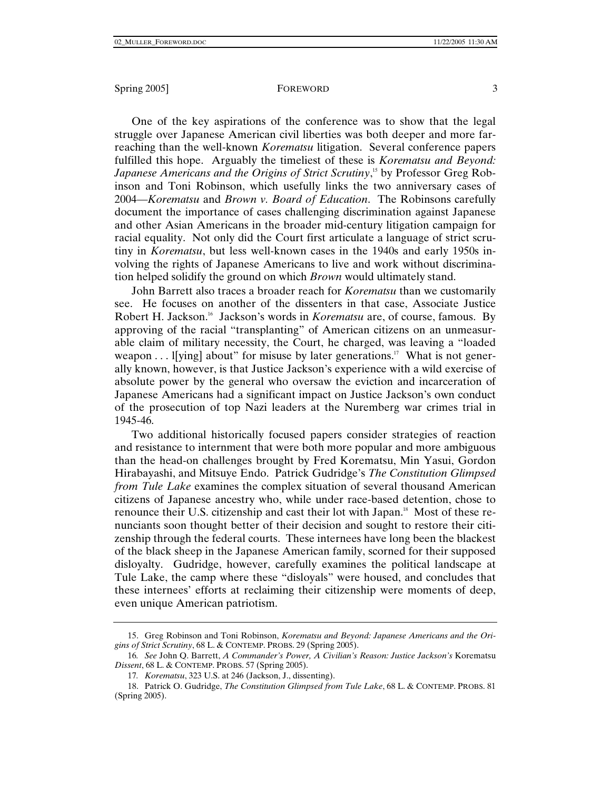One of the key aspirations of the conference was to show that the legal struggle over Japanese American civil liberties was both deeper and more farreaching than the well-known *Korematsu* litigation. Several conference papers fulfilled this hope. Arguably the timeliest of these is *Korematsu and Beyond: Japanese Americans and the Origins of Strict Scrutiny*, 15 by Professor Greg Robinson and Toni Robinson, which usefully links the two anniversary cases of 2004—*Korematsu* and *Brown v. Board of Education*. The Robinsons carefully document the importance of cases challenging discrimination against Japanese and other Asian Americans in the broader mid-century litigation campaign for racial equality. Not only did the Court first articulate a language of strict scrutiny in *Korematsu*, but less well-known cases in the 1940s and early 1950s involving the rights of Japanese Americans to live and work without discrimination helped solidify the ground on which *Brown* would ultimately stand.

John Barrett also traces a broader reach for *Korematsu* than we customarily see. He focuses on another of the dissenters in that case, Associate Justice Robert H. Jackson.16 Jackson's words in *Korematsu* are, of course, famous. By approving of the racial "transplanting" of American citizens on an unmeasurable claim of military necessity, the Court, he charged, was leaving a "loaded weapon  $\dots$  l[ying] about" for misuse by later generations.<sup>17</sup> What is not generally known, however, is that Justice Jackson's experience with a wild exercise of absolute power by the general who oversaw the eviction and incarceration of Japanese Americans had a significant impact on Justice Jackson's own conduct of the prosecution of top Nazi leaders at the Nuremberg war crimes trial in 1945-46.

Two additional historically focused papers consider strategies of reaction and resistance to internment that were both more popular and more ambiguous than the head-on challenges brought by Fred Korematsu, Min Yasui, Gordon Hirabayashi, and Mitsuye Endo. Patrick Gudridge's *The Constitution Glimpsed from Tule Lake* examines the complex situation of several thousand American citizens of Japanese ancestry who, while under race-based detention, chose to renounce their U.S. citizenship and cast their lot with Japan.<sup>18</sup> Most of these renunciants soon thought better of their decision and sought to restore their citizenship through the federal courts. These internees have long been the blackest of the black sheep in the Japanese American family, scorned for their supposed disloyalty. Gudridge, however, carefully examines the political landscape at Tule Lake, the camp where these "disloyals" were housed, and concludes that these internees' efforts at reclaiming their citizenship were moments of deep, even unique American patriotism.

 <sup>15.</sup> Greg Robinson and Toni Robinson, *Korematsu and Beyond: Japanese Americans and the Origins of Strict Scrutiny*, 68 L. & CONTEMP. PROBS. 29 (Spring 2005).

<sup>16</sup>*. See* John Q. Barrett, *A Commander's Power, A Civilian's Reason: Justice Jackson's* Korematsu *Dissent*, 68 L. & CONTEMP. PROBS. 57 (Spring 2005).

<sup>17</sup>*. Korematsu*, 323 U.S. at 246 (Jackson, J., dissenting).

 <sup>18.</sup> Patrick O. Gudridge, *The Constitution Glimpsed from Tule Lake*, 68 L. & CONTEMP. PROBS. 81 (Spring 2005).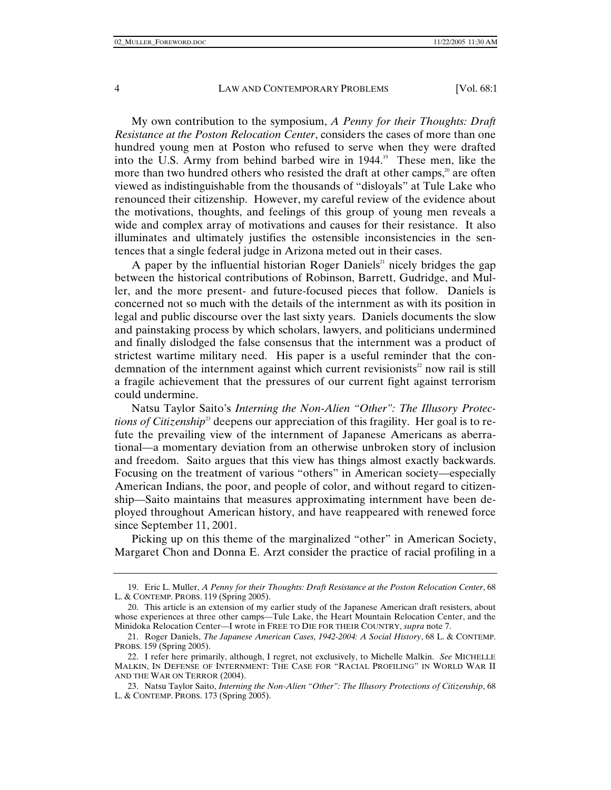My own contribution to the symposium, *A Penny for their Thoughts: Draft Resistance at the Poston Relocation Center*, considers the cases of more than one hundred young men at Poston who refused to serve when they were drafted into the U.S. Army from behind barbed wire in 1944.<sup>19</sup> These men, like the more than two hundred others who resisted the draft at other camps, $2<sup>0</sup>$  are often viewed as indistinguishable from the thousands of "disloyals" at Tule Lake who renounced their citizenship. However, my careful review of the evidence about the motivations, thoughts, and feelings of this group of young men reveals a wide and complex array of motivations and causes for their resistance. It also illuminates and ultimately justifies the ostensible inconsistencies in the sentences that a single federal judge in Arizona meted out in their cases.

A paper by the influential historian Roger Daniels<sup>21</sup> nicely bridges the gap between the historical contributions of Robinson, Barrett, Gudridge, and Muller, and the more present- and future-focused pieces that follow. Daniels is concerned not so much with the details of the internment as with its position in legal and public discourse over the last sixty years. Daniels documents the slow and painstaking process by which scholars, lawyers, and politicians undermined and finally dislodged the false consensus that the internment was a product of strictest wartime military need. His paper is a useful reminder that the condemnation of the internment against which current revisionists<sup>22</sup> now rail is still a fragile achievement that the pressures of our current fight against terrorism could undermine.

Natsu Taylor Saito's *Interning the Non-Alien "Other": The Illusory Protections of Citizenship*<sup>23</sup> deepens our appreciation of this fragility. Her goal is to refute the prevailing view of the internment of Japanese Americans as aberrational—a momentary deviation from an otherwise unbroken story of inclusion and freedom. Saito argues that this view has things almost exactly backwards. Focusing on the treatment of various "others" in American society—especially American Indians, the poor, and people of color, and without regard to citizenship—Saito maintains that measures approximating internment have been deployed throughout American history, and have reappeared with renewed force since September 11, 2001.

Picking up on this theme of the marginalized "other" in American Society, Margaret Chon and Donna E. Arzt consider the practice of racial profiling in a

 <sup>19.</sup> Eric L. Muller, *A Penny for their Thoughts: Draft Resistance at the Poston Relocation Center*, 68 L. & CONTEMP. PROBS. 119 (Spring 2005).

 <sup>20.</sup> This article is an extension of my earlier study of the Japanese American draft resisters, about whose experiences at three other camps—Tule Lake, the Heart Mountain Relocation Center, and the Minidoka Relocation Center—I wrote in FREE TO DIE FOR THEIR COUNTRY, *supra* note 7.

 <sup>21.</sup> Roger Daniels, *The Japanese American Cases, 1942-2004: A Social History*, 68 L. & CONTEMP. PROBS. 159 (Spring 2005).

 <sup>22.</sup> I refer here primarily, although, I regret, not exclusively, to Michelle Malkin. *See* MICHELLE MALKIN, IN DEFENSE OF INTERNMENT: THE CASE FOR "RACIAL PROFILING" IN WORLD WAR II AND THE WAR ON TERROR (2004).

 <sup>23.</sup> Natsu Taylor Saito, *Interning the Non-Alien "Other": The Illusory Protections of Citizenship*, 68 L. & CONTEMP. PROBS. 173 (Spring 2005).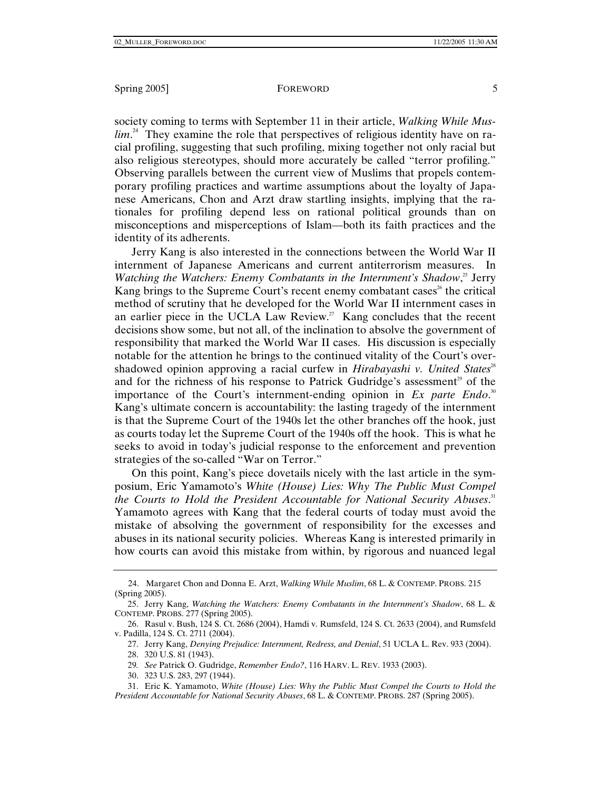society coming to terms with September 11 in their article, *Walking While Muslim*. 24 They examine the role that perspectives of religious identity have on racial profiling, suggesting that such profiling, mixing together not only racial but also religious stereotypes, should more accurately be called "terror profiling." Observing parallels between the current view of Muslims that propels contemporary profiling practices and wartime assumptions about the loyalty of Japanese Americans, Chon and Arzt draw startling insights, implying that the rationales for profiling depend less on rational political grounds than on misconceptions and misperceptions of Islam—both its faith practices and the identity of its adherents.

Jerry Kang is also interested in the connections between the World War II internment of Japanese Americans and current antiterrorism measures. In Watching the Watchers: Enemy Combatants in the Internment's Shadow,<sup>25</sup> Jerry Kang brings to the Supreme Court's recent enemy combatant cases<sup> $26$ </sup> the critical method of scrutiny that he developed for the World War II internment cases in an earlier piece in the UCLA Law Review.<sup>27</sup> Kang concludes that the recent decisions show some, but not all, of the inclination to absolve the government of responsibility that marked the World War II cases. His discussion is especially notable for the attention he brings to the continued vitality of the Court's overshadowed opinion approving a racial curfew in *Hirabayashi v. United States*<sup>28</sup> and for the richness of his response to Patrick Gudridge's assessment<sup>29</sup> of the importance of the Court's internment-ending opinion in *Ex parte Endo*. 30 Kang's ultimate concern is accountability: the lasting tragedy of the internment is that the Supreme Court of the 1940s let the other branches off the hook, just as courts today let the Supreme Court of the 1940s off the hook. This is what he seeks to avoid in today's judicial response to the enforcement and prevention strategies of the so-called "War on Terror."

On this point, Kang's piece dovetails nicely with the last article in the symposium, Eric Yamamoto's *White (House) Lies: Why The Public Must Compel the Courts to Hold the President Accountable for National Security Abuses*. 31 Yamamoto agrees with Kang that the federal courts of today must avoid the mistake of absolving the government of responsibility for the excesses and abuses in its national security policies. Whereas Kang is interested primarily in how courts can avoid this mistake from within, by rigorous and nuanced legal

 <sup>24.</sup> Margaret Chon and Donna E. Arzt, *Walking While Muslim*, 68 L. & CONTEMP. PROBS. 215 (Spring 2005).

 <sup>25.</sup> Jerry Kang, *Watching the Watchers: Enemy Combatants in the Internment's Shadow*, 68 L. & CONTEMP. PROBS. 277 (Spring 2005).

 <sup>26.</sup> Rasul v. Bush, 124 S. Ct. 2686 (2004), Hamdi v. Rumsfeld, 124 S. Ct. 2633 (2004), and Rumsfeld v. Padilla, 124 S. Ct. 2711 (2004).

 <sup>27.</sup> Jerry Kang, *Denying Prejudice: Internment, Redress, and Denial*, 51 UCLA L. Rev. 933 (2004).

 <sup>28. 320</sup> U.S. 81 (1943).

<sup>29</sup>*. See* Patrick O. Gudridge, *Remember Endo?*, 116 HARV. L. REV. 1933 (2003).

 <sup>30. 323</sup> U.S. 283, 297 (1944).

 <sup>31.</sup> Eric K. Yamamoto, *White (House) Lies: Why the Public Must Compel the Courts to Hold the President Accountable for National Security Abuses*, 68 L. & CONTEMP. PROBS. 287 (Spring 2005).